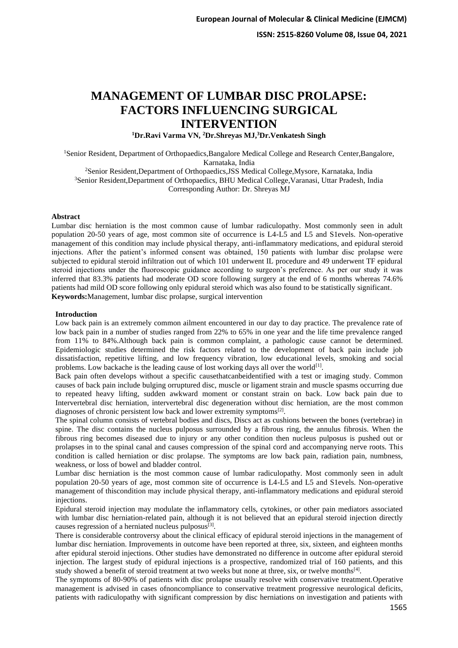# **MANAGEMENT OF LUMBAR DISC PROLAPSE: FACTORS INFLUENCING SURGICAL INTERVENTION**

**<sup>1</sup>Dr.Ravi Varma VN, <sup>2</sup>Dr.Shreyas MJ,<sup>3</sup>Dr.Venkatesh Singh**

<sup>1</sup>Senior Resident, Department of Orthopaedics,Bangalore Medical College and Research Center,Bangalore, Karnataka, India

<sup>2</sup>Senior Resident,Department of Orthopaedics,JSS Medical College,Mysore, Karnataka, India <sup>3</sup>Senior Resident, Department of Orthopaedics, BHU Medical College, Varanasi, Uttar Pradesh, India Corresponding Author: Dr. Shreyas MJ

# **Abstract**

Lumbar disc herniation is the most common cause of lumbar radiculopathy. Most commonly seen in adult population 20-50 years of age, most common site of occurrence is L4-L5 and L5 and S1evels. Non-operative management of this condition may include physical therapy, anti-inflammatory medications, and epidural steroid injections. After the patient's informed consent was obtained, 150 patients with lumbar disc prolapse were subjected to epidural steroid infiltration out of which 101 underwent IL procedure and 49 underwent TF epidural steroid injections under the fluoroscopic guidance according to surgeon's preference. As per our study it was inferred that 83.3% patients had moderate OD score following surgery at the end of 6 months whereas 74.6% patients had mild OD score following only epidural steroid which was also found to be statistically significant. **Keywords:**Management, lumbar disc prolapse, surgical intervention

#### **Introduction**

Low back pain is an extremely common ailment encountered in our day to day practice. The prevalence rate of low back pain in a number of studies ranged from 22% to 65% in one year and the life time prevalence ranged from 11% to 84%.Although back pain is common complaint, a pathologic cause cannot be determined. Epidemiologic studies determined the risk factors related to the development of back pain include job dissatisfaction, repetitive lifting, and low frequency vibration, low educational levels, smoking and social problems. Low backache is the leading cause of lost working days all over the world<sup>[1]</sup>.

Back pain often develops without a specific causethatcanbeidentified with a test or imaging study. Common causes of back pain include bulging orruptured disc, muscle or ligament strain and muscle spasms occurring due to repeated heavy lifting, sudden awkward moment or constant strain on back. Low back pain due to Intervertebral disc herniation, intervertebral disc degeneration without disc herniation, are the most common diagnoses of chronic persistent low back and lower extremity symptoms<sup>[2]</sup>.

The spinal column consists of vertebral bodies and discs, Discs act as cushions between the bones (vertebrae) in spine. The disc contains the nucleus pulposus surrounded by a fibrous ring, the annulus fibrosis. When the fibrous ring becomes diseased due to injury or any other condition then nucleus pulposus is pushed out or prolapses in to the spinal canal and causes compression of the spinal cord and accompanying nerve roots. This condition is called herniation or disc prolapse. The symptoms are low back pain, radiation pain, numbness, weakness, or loss of bowel and bladder control.

Lumbar disc herniation is the most common cause of lumbar radiculopathy. Most commonly seen in adult population 20-50 years of age, most common site of occurrence is L4-L5 and L5 and S1evels. Non-operative management of thiscondition may include physical therapy, anti-inflammatory medications and epidural steroid injections.

Epidural steroid injection may modulate the inflammatory cells, cytokines, or other pain mediators associated with lumbar disc herniation-related pain, although it is not believed that an epidural steroid injection directly causes regression of a herniated nucleus pulposus<sup>[3]</sup>.

There is considerable controversy about the clinical efficacy of epidural steroid injections in the management of lumbar disc herniation. Improvements in outcome have been reported at three, six, sixteen, and eighteen months after epidural steroid injections. Other studies have demonstrated no difference in outcome after epidural steroid injection. The largest study of epidural injections is a prospective, randomized trial of 160 patients, and this study showed a benefit of steroid treatment at two weeks but none at three, six, or twelve months<sup>[4]</sup>.

The symptoms of 80-90% of patients with disc prolapse usually resolve with conservative treatment.Operative management is advised in cases ofnoncompliance to conservative treatment progressive neurological deficits, patients with radiculopathy with significant compression by disc herniations on investigation and patients with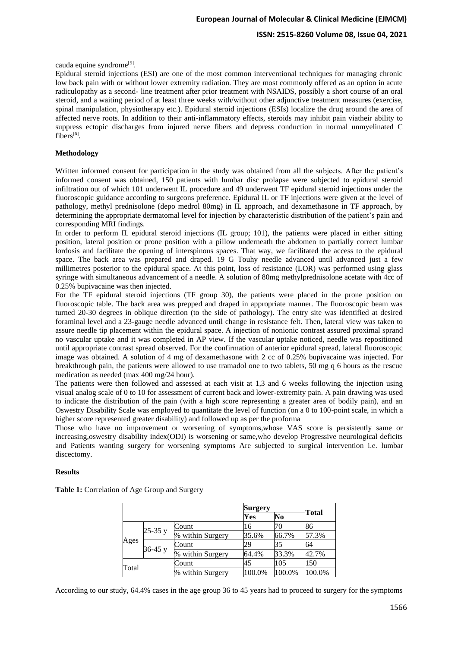cauda equine syndrome<sup>[5]</sup>.

Epidural steroid injections (ESI) are one of the most common interventional techniques for managing chronic low back pain with or without lower extremity radiation. They are most commonly offered as an option in acute radiculopathy as a second- line treatment after prior treatment with NSAIDS, possibly a short course of an oral steroid, and a waiting period of at least three weeks with/without other adjunctive treatment measures (exercise, spinal manipulation, physiotherapy etc.). Epidural steroid injections (ESIs) localize the drug around the area of affected nerve roots. In addition to their anti-inflammatory effects, steroids may inhibit pain viatheir ability to suppress ectopic discharges from injured nerve fibers and depress conduction in normal unmyelinated C fibers<sup>[6]</sup>.

#### **Methodology**

Written informed consent for participation in the study was obtained from all the subjects. After the patient's informed consent was obtained, 150 patients with lumbar disc prolapse were subjected to epidural steroid infiltration out of which 101 underwent IL procedure and 49 underwent TF epidural steroid injections under the fluoroscopic guidance according to surgeons preference. Epidural IL or TF injections were given at the level of pathology, methyl prednisolone (depo medrol 80mg) in IL approach, and dexamethasone in TF approach, by determining the appropriate dermatomal level for injection by characteristic distribution of the patient's pain and corresponding MRI findings.

In order to perform IL epidural steroid injections (IL group; 101), the patients were placed in either sitting position, lateral position or prone position with a pillow underneath the abdomen to partially correct lumbar lordosis and facilitate the opening of interspinous spaces. That way, we facilitated the access to the epidural space. The back area was prepared and draped. 19 G Touhy needle advanced until advanced just a few millimetres posterior to the epidural space. At this point, loss of resistance (LOR) was performed using glass syringe with simultaneous advancement of a needle. A solution of 80mg methylprednisolone acetate with 4cc of 0.25% bupivacaine was then injected.

For the TF epidural steroid injections (TF group 30), the patients were placed in the prone position on fluoroscopic table. The back area was prepped and draped in appropriate manner. The fluoroscopic beam was turned 20-30 degrees in oblique direction (to the side of pathology). The entry site was identified at desired foraminal level and a 23-gauge needle advanced until change in resistance felt. Then, lateral view was taken to assure needle tip placement within the epidural space. A injection of nonionic contrast assured proximal sprand no vascular uptake and it was completed in AP view. If the vascular uptake noticed, needle was repositioned until appropriate contrast spread observed. For the confirmation of anterior epidural spread, lateral fluoroscopic image was obtained. A solution of 4 mg of dexamethasone with 2 cc of 0.25% bupivacaine was injected. For breakthrough pain, the patients were allowed to use tramadol one to two tablets, 50 mg q 6 hours as the rescue medication as needed (max 400 mg/24 hour).

The patients were then followed and assessed at each visit at 1,3 and 6 weeks following the injection using visual analog scale of 0 to 10 for assessment of current back and lower-extremity pain. A pain drawing was used to indicate the distribution of the pain (with a high score representing a greater area of bodily pain), and an Oswestry Disability Scale was employed to quantitate the level of function (on a 0 to 100-point scale, in which a higher score represented greater disability) and followed up as per the proforma

Those who have no improvement or worsening of symptoms,whose VAS score is persistently same or increasing,oswestry disability index(ODI) is worsening or same,who develop Progressive neurological deficits and Patients wanting surgery for worsening symptoms Are subjected to surgical intervention i.e. lumbar discectomy.

#### **Results**

**Table 1:** Correlation of Age Group and Surgery

|       |           |                  | <b>Surgery</b> |        |        |
|-------|-----------|------------------|----------------|--------|--------|
|       |           |                  | Yes            | No     | Total  |
|       |           | Count            | 16             | 70     | 86     |
|       | $25-35y$  | % within Surgery | 35.6%          | 66.7%  | 57.3%  |
| Ages  |           | Count            | 29             | 35     | 64     |
|       | $36-45 y$ | % within Surgery | 64.4%          | 33.3%  | 42.7%  |
| Total |           | Count            | 45             | 105    | 150    |
|       |           | % within Surgery | 100.0%         | 100.0% | 100.0% |

According to our study, 64.4% cases in the age group 36 to 45 years had to proceed to surgery for the symptoms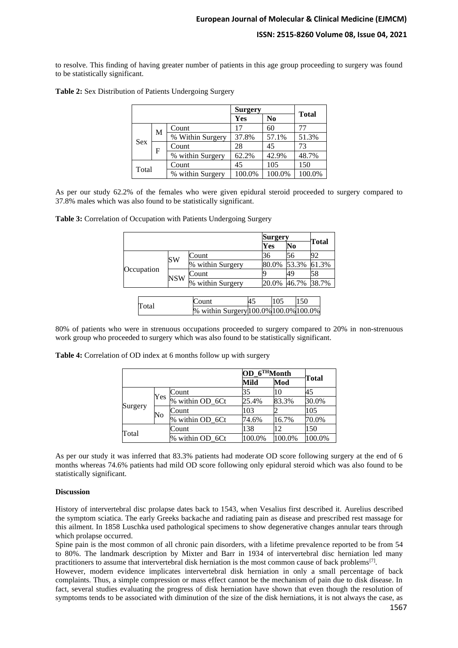to resolve. This finding of having greater number of patients in this age group proceeding to surgery was found to be statistically significant.

|            |                    |                  | <b>Surgery</b> | <b>Total</b>   |        |  |
|------------|--------------------|------------------|----------------|----------------|--------|--|
|            |                    |                  | Yes            | N <sub>0</sub> |        |  |
|            | M                  | Count            | 17             | 60             |        |  |
|            |                    | % Within Surgery | 37.8%          | 57.1%          | 51.3%  |  |
| <b>Sex</b> | F                  | Count            | 28             | 45             | 73     |  |
|            |                    | % within Surgery | 62.2%          | 42.9%          | 48.7%  |  |
| Total      | 105<br>45<br>Count |                  | 150            |                |        |  |
|            |                    | % within Surgery | 100.0%         | 100.0%         | 100.0% |  |

**Table 2:** Sex Distribution of Patients Undergoing Surgery

As per our study 62.2% of the females who were given epidural steroid proceeded to surgery compared to 37.8% males which was also found to be statistically significant.

**Table 3:** Correlation of Occupation with Patients Undergoing Surgery

|            |           |                                       |    | <b>Surgery</b> |       |    | Total |       |  |
|------------|-----------|---------------------------------------|----|----------------|-------|----|-------|-------|--|
|            |           |                                       |    | Yes<br>No      |       |    |       |       |  |
| Occupation | <b>SW</b> | Count                                 |    | 36             |       | 56 |       | 92    |  |
|            |           | % within Surgery                      |    |                | 80.0% |    | 53.3% | 61.3% |  |
|            | NSW       | Count                                 |    |                |       | 49 |       | 58    |  |
|            |           | % within Surgery                      |    |                | 20.0% |    | 46.7% | 38.7% |  |
|            |           |                                       |    |                |       |    |       |       |  |
| Total      |           | Count                                 | 45 |                | 105   |    | 150   |       |  |
|            |           | % within Surgery 100.0% 100.0% 100.0% |    |                |       |    |       |       |  |

80% of patients who were in strenuous occupations proceeded to surgery compared to 20% in non-strenuous work group who proceeded to surgery which was also found to be statistically significant.

**Table 4:** Correlation of OD index at 6 months follow up with surgery

|         |              |                 | OD 6THMonth |        |        |
|---------|--------------|-----------------|-------------|--------|--------|
|         |              |                 | Mild        | Mod    | Total  |
|         |              | Count           | 35          | 10     | 45     |
|         | Yes          | % within OD_6Ct | 25.4%       | 83.3%  | 30.0%  |
| Surgery |              | Count           | 103         |        | 105    |
|         | No           | % within OD 6Ct | 74.6%       | 16.7%  | 70.0%  |
|         | 138<br>Count |                 | 12          | 150    |        |
| Total   |              | % within OD_6Ct | 100.0%      | 100.0% | 100.0% |

As per our study it was inferred that 83.3% patients had moderate OD score following surgery at the end of 6 months whereas 74.6% patients had mild OD score following only epidural steroid which was also found to be statistically significant.

#### **Discussion**

History of intervertebral disc prolapse dates back to 1543, when Vesalius first described it. Aurelius described the symptom sciatica. The early Greeks backache and radiating pain as disease and prescribed rest massage for this ailment. In 1858 Luschka used pathological specimens to show degenerative changes annular tears through which prolapse occurred.

Spine pain is the most common of all chronic pain disorders, with a lifetime prevalence reported to be from 54 to 80%. The landmark description by Mixter and Barr in 1934 of intervertebral disc herniation led many practitioners to assume that intervertebral disk herniation is the most common cause of back problems<sup>[7]</sup>.

However, modern evidence implicates intervertebral disk herniation in only a small percentage of back complaints. Thus, a simple compression or mass effect cannot be the mechanism of pain due to disk disease. In fact, several studies evaluating the progress of disk herniation have shown that even though the resolution of symptoms tends to be associated with diminution of the size of the disk herniations, it is not always the case, as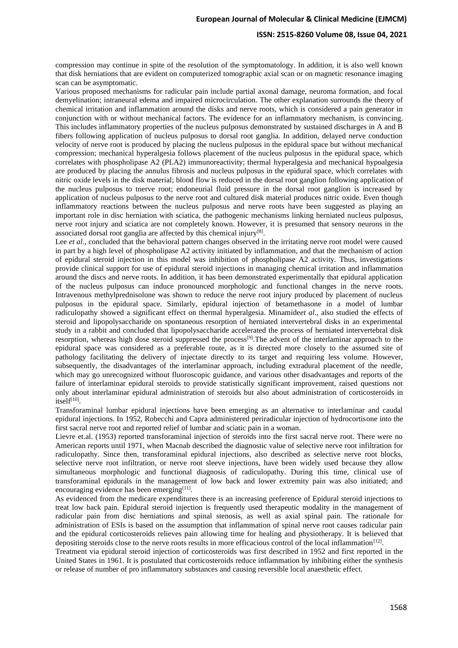# **European Journal of Molecular & Clinical Medicine (EJMCM)**

# **ISSN: 2515-8260 Volume 08, Issue 04, 2021**

compression may continue in spite of the resolution of the symptomatology. In addition, it is also well known that disk herniations that are evident on computerized tomographic axial scan or on magnetic resonance imaging scan can be asymptomatic.

Various proposed mechanisms for radicular pain include partial axonal damage, neuroma formation, and focal demyelination; intraneural edema and impaired microcirculation. The other explanation surrounds the theory of chemical irritation and inflammation around the disks and nerve roots, which is considered a pain generator in conjunction with or without mechanical factors. The evidence for an inflammatory mechanism, is convincing. This includes inflammatory properties of the nucleus pulposus demonstrated by sustained discharges in A and B fibers following application of nucleus pulposus to dorsal root ganglia. In addition, delayed nerve conduction velocity of nerve root is produced by placing the nucleus pulposus in the epidural space but without mechanical compression; mechanical hyperalgesia follows placement of the nucleus pulposus in the epidural space, which correlates with phospholipase A2 (PLA2) immunoreactivity; thermal hyperalgesia and mechanical hypoalgesia are produced by placing the annulus fibrosis and nucleus pulposus in the epidural space, which correlates with nitric oxide levels in the disk material; blood flow is reduced in the dorsal root ganglion following application of the nucleus pulposus to tnerve root; endoneurial fluid pressure in the dorsal root ganglion is increased by application of nucleus pulposus to the nerve root and cultured disk material produces nitric oxide. Even though inflammatory reactions between the nucleus pulposus and nerve roots have been suggested as playing an important role in disc herniation with sciatica, the pathogenic mechanisms linking herniated nucleus pulposus, nerve root injury and sciatica are not completely known. However, it is presumed that sensory neurons in the associated dorsal root ganglia are affected by this chemical injury $^{[8]}$ .

Lee *et al.*, concluded that the behavioral pattern changes observed in the irritating nerve root model were caused in part by a high level of phospholipase A2 activity initiated by inflammation, and that the mechanism of action of epidural steroid injection in this model was inhibition of phospholipase A2 activity. Thus, investigations provide clinical support for use of epidural steroid injections in managing chemical irritation and inflammation around the discs and nerve roots. In addition, it has been demonstrated experimentally that epidural application of the nucleus pulposus can induce pronounced morphologic and functional changes in the nerve roots. Intravenous methylprednisolone was shown to reduce the nerve root injury produced by placement of nucleus pulposus in the epidural space. Similarly, epidural injection of betamethasone in a model of lumbar radiculopathy showed a significant effect on thermal hyperalgesia. Minamide*et al*., also studied the effects of steroid and lipopolysaccharide on spontaneous resorption of herniated intervertebral disks in an experimental study in a rabbit and concluded that lipopolysaccharide accelerated the process of herniated intervertebral disk resorption, whereas high dose steroid suppressed the process[9].The advent of the interlaminar approach to the epidural space was considered as a preferable route, as it is directed more closely to the assumed site of pathology facilitating the delivery of injectate directly to its target and requiring less volume. However, subsequently, the disadvantages of the interlaminar approach, including extradural placement of the needle, which may go unrecognized without fluoroscopic guidance, and various other disadvantages and reports of the failure of interlaminar epidural steroids to provide statistically significant improvement, raised questions not only about interlaminar epidural administration of steroids but also about administration of corticosteroids in itself<sup>[10]</sup>.

Transforaminal lumbar epidural injections have been emerging as an alternative to interlaminar and caudal epidural injections. In 1952, Robecchi and Capra administered periradicular injection of hydrocortisone into the first sacral nerve root and reported relief of lumbar and sciatic pain in a woman.

Lievre et.al. (1953) reported transforaminal injection of steroids into the first sacral nerve root. There were no American reports until 1971, when Macnab described the diagnostic value of selective nerve root infiltration for radiculopathy. Since then, transforaminal epidural injections, also described as selective nerve root blocks, selective nerve root infiltration, or nerve root sleeve injections, have been widely used because they allow simultaneous morphologic and functional diagnosis of radiculopathy. During this time, clinical use of transforaminal epidurals in the management of low back and lower extremity pain was also initiated; and encouraging evidence has been emerging<sup>[11]</sup>.

As evidenced from the medicare expenditures there is an increasing preference of Epidural steroid injections to treat low back pain. Epidural steroid injection is frequently used therapeutic modality in the management of radicular pain from disc herniations and spinal stenosis, as well as axial spinal pain. The rationale for administration of ESIs is based on the assumption that inflammation of spinal nerve root causes radicular pain and the epidural corticosteroids relieves pain allowing time for healing and physiotherapy. It is believed that depositing steroids close to the nerve roots results in more efficacious control of the local inflammation $^{[12]}$ .

Treatment via epidural steroid injection of corticosteroids was first described in 1952 and first reported in the United States in 1961. It is postulated that corticosteroids reduce inflammation by inhibiting either the synthesis or release of number of pro inflammatory substances and causing reversible local anaesthetic effect.